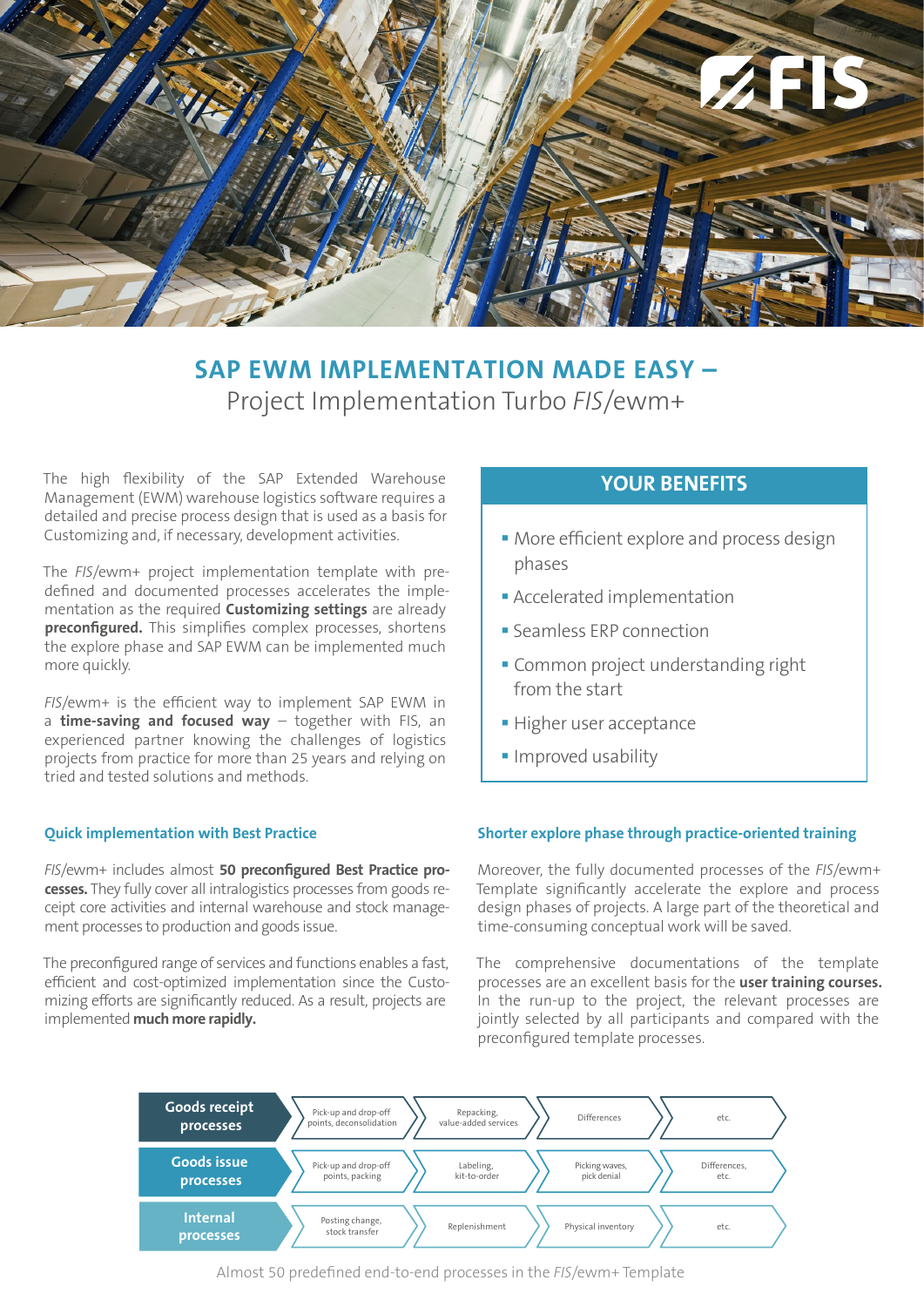

# **SAP EWM IMPLEMENTATION MADE EASY –** Project Implementation Turbo *FIS*/ewm+

The high flexibility of the SAP Extended Warehouse Management (EWM) warehouse logistics software requires a detailed and precise process design that is used as a basis for Customizing and, if necessary, development activities.

The *FIS*/ewm+ project implementation template with predefined and documented processes accelerates the implementation as the required **Customizing settings** are already **preconfigured.** This simplifies complex processes, shortens the explore phase and SAP EWM can be implemented much more quickly.

*FIS*/ewm+ is the efficient way to implement SAP EWM in a **time-saving and focused way** – together with FIS, an experienced partner knowing the challenges of logistics projects from practice for more than 25 years and relying on tried and tested solutions and methods.

### **Quick implementation with Best Practice**

*FIS*/ewm+ includes almost **50 preconfigured Best Practice processes.** They fully cover all intralogistics processes from goods receipt core activities and internal warehouse and stock management processes to production and goods issue.

The preconfigured range of services and functions enables a fast, efficient and cost-optimized implementation since the Customizing efforts are significantly reduced. As a result, projects are implemented **much more rapidly.**

# **YOUR BENEFITS**

- More efficient explore and process design phases
- Accelerated implementation
- **Seamless ERP connection**
- **Common project understanding right** from the start
- Higher user acceptance
- **Improved usability**

## **Shorter explore phase through practice-oriented training**

Moreover, the fully documented processes of the *FIS*/ewm+ Template significantly accelerate the explore and process design phases of projects. A large part of the theoretical and time-consuming conceptual work will be saved.

The comprehensive documentations of the template processes are an excellent basis for the **user training courses.**  In the run-up to the project, the relevant processes are jointly selected by all participants and compared with the preconfigured template processes.



Almost 50 predefined end-to-end processes in the *FIS*/ewm+ Template